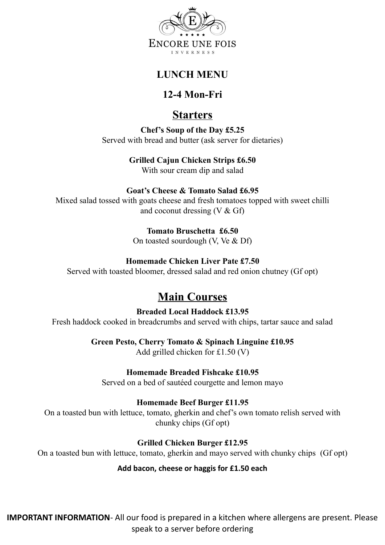

### **LUNCH MENU**

## **12-4 Mon-Fri**

# **Starters**

**Chef's Soup of the Day £5.25** Served with bread and butter (ask server for dietaries)

**Grilled Cajun Chicken Strips £6.50**

With sour cream dip and salad

### **Goat's Cheese & Tomato Salad £6.95**

Mixed salad tossed with goats cheese and fresh tomatoes topped with sweet chilli and coconut dressing  $(V & Gf)$ 

**Tomato Bruschetta £6.50**

On toasted sourdough (V, Ve & Df)

### **Homemade Chicken Liver Pate £7.50**

Served with toasted bloomer, dressed salad and red onion chutney (Gf opt)

# **Main Courses**

**Breaded Local Haddock £13.95** Fresh haddock cooked in breadcrumbs and served with chips, tartar sauce and salad

**Green Pesto, Cherry Tomato & Spinach Linguine £10.95** 

Add grilled chicken for £1.50 (V)

### **Homemade Breaded Fishcake £10.95**

Served on a bed of sautéed courgette and lemon mayo

#### **Homemade Beef Burger £11.95**

On a toasted bun with lettuce, tomato, gherkin and chef's own tomato relish served with chunky chips (Gf opt)

**Grilled Chicken Burger £12.95**

On a toasted bun with lettuce, tomato, gherkin and mayo served with chunky chips (Gf opt)

#### **Add bacon, cheese or haggis for £1.50 each**

**IMPORTANT INFORMATION**- All our food is prepared in a kitchen where allergens are present. Please speak to a server before ordering